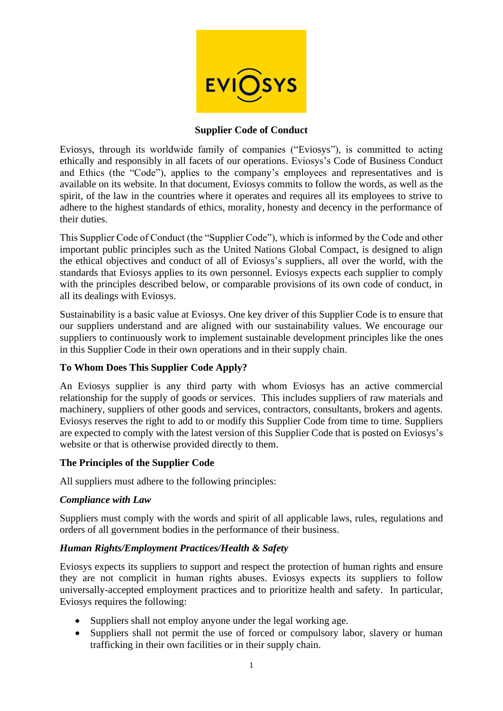

### **Supplier Code of Conduct**

Eviosys, through its worldwide family of companies ("Eviosys"), is committed to acting ethically and responsibly in all facets of our operations. Eviosys's Code of Business Conduct and Ethics (the "Code"), applies to the company's employees and representatives and is available on its website. In that document, Eviosys commits to follow the words, as well as the spirit, of the law in the countries where it operates and requires all its employees to strive to adhere to the highest standards of ethics, morality, honesty and decency in the performance of their duties.

This Supplier Code of Conduct (the "Supplier Code"), which is informed by the Code and other important public principles such as the United Nations Global Compact, is designed to align the ethical objectives and conduct of all of Eviosys's suppliers, all over the world, with the standards that Eviosys applies to its own personnel. Eviosys expects each supplier to comply with the principles described below, or comparable provisions of its own code of conduct, in all its dealings with Eviosys.

Sustainability is a basic value at Eviosys. One key driver of this Supplier Code is to ensure that our suppliers understand and are aligned with our sustainability values. We encourage our suppliers to continuously work to implement sustainable development principles like the ones in this Supplier Code in their own operations and in their supply chain.

# **To Whom Does This Supplier Code Apply?**

An Eviosys supplier is any third party with whom Eviosys has an active commercial relationship for the supply of goods or services. This includes suppliers of raw materials and machinery, suppliers of other goods and services, contractors, consultants, brokers and agents. Eviosys reserves the right to add to or modify this Supplier Code from time to time. Suppliers are expected to comply with the latest version of this Supplier Code that is posted on Eviosys's website or that is otherwise provided directly to them.

# **The Principles of the Supplier Code**

All suppliers must adhere to the following principles:

# *Compliance with Law*

Suppliers must comply with the words and spirit of all applicable laws, rules, regulations and orders of all government bodies in the performance of their business.

# *Human Rights/Employment Practices/Health & Safety*

Eviosys expects its suppliers to support and respect the protection of human rights and ensure they are not complicit in human rights abuses. Eviosys expects its suppliers to follow universally-accepted employment practices and to prioritize health and safety. In particular, Eviosys requires the following:

- Suppliers shall not employ anyone under the legal working age.
- Suppliers shall not permit the use of forced or compulsory labor, slavery or human trafficking in their own facilities or in their supply chain.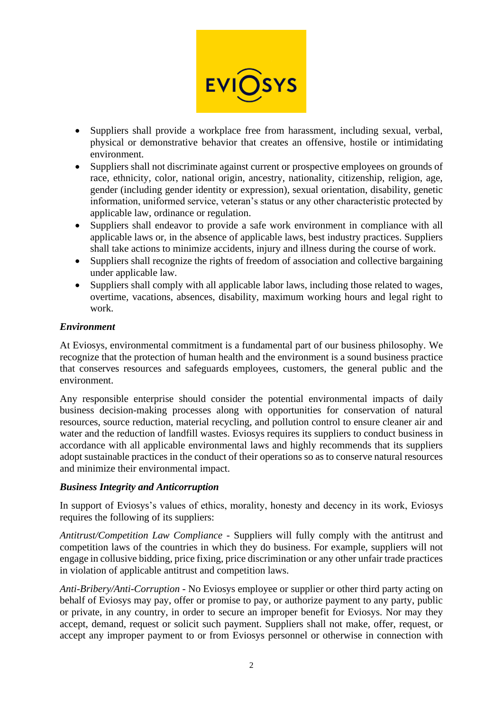

- Suppliers shall provide a workplace free from harassment, including sexual, verbal, physical or demonstrative behavior that creates an offensive, hostile or intimidating environment.
- Suppliers shall not discriminate against current or prospective employees on grounds of race, ethnicity, color, national origin, ancestry, nationality, citizenship, religion, age, gender (including gender identity or expression), sexual orientation, disability, genetic information, uniformed service, veteran's status or any other characteristic protected by applicable law, ordinance or regulation.
- Suppliers shall endeavor to provide a safe work environment in compliance with all applicable laws or, in the absence of applicable laws, best industry practices. Suppliers shall take actions to minimize accidents, injury and illness during the course of work.
- Suppliers shall recognize the rights of freedom of association and collective bargaining under applicable law.
- Suppliers shall comply with all applicable labor laws, including those related to wages, overtime, vacations, absences, disability, maximum working hours and legal right to work.

### *Environment*

At Eviosys, environmental commitment is a fundamental part of our business philosophy. We recognize that the protection of human health and the environment is a sound business practice that conserves resources and safeguards employees, customers, the general public and the environment.

Any responsible enterprise should consider the potential environmental impacts of daily business decision-making processes along with opportunities for conservation of natural resources, source reduction, material recycling, and pollution control to ensure cleaner air and water and the reduction of landfill wastes. Eviosys requires its suppliers to conduct business in accordance with all applicable environmental laws and highly recommends that its suppliers adopt sustainable practices in the conduct of their operations so as to conserve natural resources and minimize their environmental impact.

#### *Business Integrity and Anticorruption*

In support of Eviosys's values of ethics, morality, honesty and decency in its work, Eviosys requires the following of its suppliers:

*Antitrust/Competition Law Compliance* - Suppliers will fully comply with the antitrust and competition laws of the countries in which they do business. For example, suppliers will not engage in collusive bidding, price fixing, price discrimination or any other unfair trade practices in violation of applicable antitrust and competition laws.

*Anti-Bribery/Anti-Corruption* - No Eviosys employee or supplier or other third party acting on behalf of Eviosys may pay, offer or promise to pay, or authorize payment to any party, public or private, in any country, in order to secure an improper benefit for Eviosys. Nor may they accept, demand, request or solicit such payment. Suppliers shall not make, offer, request, or accept any improper payment to or from Eviosys personnel or otherwise in connection with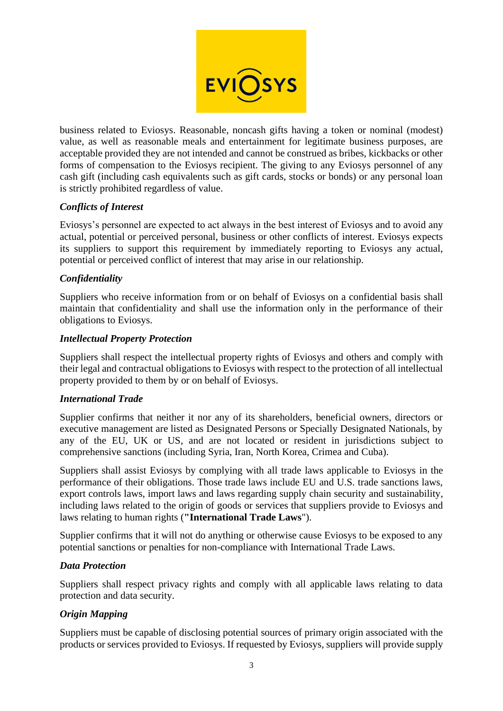

business related to Eviosys. Reasonable, noncash gifts having a token or nominal (modest) value, as well as reasonable meals and entertainment for legitimate business purposes, are acceptable provided they are not intended and cannot be construed as bribes, kickbacks or other forms of compensation to the Eviosys recipient. The giving to any Eviosys personnel of any cash gift (including cash equivalents such as gift cards, stocks or bonds) or any personal loan is strictly prohibited regardless of value.

# *Conflicts of Interest*

Eviosys's personnel are expected to act always in the best interest of Eviosys and to avoid any actual, potential or perceived personal, business or other conflicts of interest. Eviosys expects its suppliers to support this requirement by immediately reporting to Eviosys any actual, potential or perceived conflict of interest that may arise in our relationship.

### *Confidentiality*

Suppliers who receive information from or on behalf of Eviosys on a confidential basis shall maintain that confidentiality and shall use the information only in the performance of their obligations to Eviosys.

#### *Intellectual Property Protection*

Suppliers shall respect the intellectual property rights of Eviosys and others and comply with their legal and contractual obligations to Eviosys with respect to the protection of all intellectual property provided to them by or on behalf of Eviosys.

#### *International Trade*

Supplier confirms that neither it nor any of its shareholders, beneficial owners, directors or executive management are listed as Designated Persons or Specially Designated Nationals, by any of the EU, UK or US, and are not located or resident in jurisdictions subject to comprehensive sanctions (including Syria, Iran, North Korea, Crimea and Cuba).

Suppliers shall assist Eviosys by complying with all trade laws applicable to Eviosys in the performance of their obligations. Those trade laws include EU and U.S. trade sanctions laws, export controls laws, import laws and laws regarding supply chain security and sustainability, including laws related to the origin of goods or services that suppliers provide to Eviosys and laws relating to human rights (**"International Trade Laws**").

Supplier confirms that it will not do anything or otherwise cause Eviosys to be exposed to any potential sanctions or penalties for non-compliance with International Trade Laws.

#### *Data Protection*

Suppliers shall respect privacy rights and comply with all applicable laws relating to data protection and data security.

# *Origin Mapping*

Suppliers must be capable of disclosing potential sources of primary origin associated with the products or services provided to Eviosys. If requested by Eviosys, suppliers will provide supply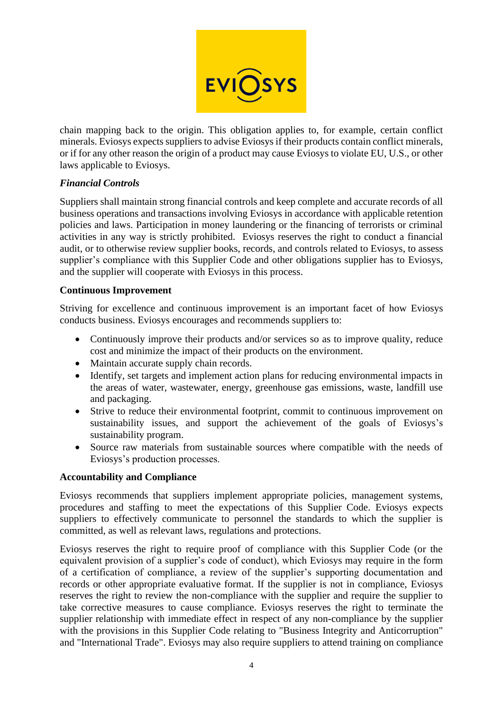

chain mapping back to the origin. This obligation applies to, for example, certain conflict minerals. Eviosys expects suppliers to advise Eviosysif their products contain conflict minerals, or if for any other reason the origin of a product may cause Eviosys to violate EU, U.S., or other laws applicable to Eviosys.

# *Financial Controls*

Suppliers shall maintain strong financial controls and keep complete and accurate records of all business operations and transactions involving Eviosys in accordance with applicable retention policies and laws. Participation in money laundering or the financing of terrorists or criminal activities in any way is strictly prohibited. Eviosys reserves the right to conduct a financial audit, or to otherwise review supplier books, records, and controls related to Eviosys, to assess supplier's compliance with this Supplier Code and other obligations supplier has to Eviosys, and the supplier will cooperate with Eviosys in this process.

# **Continuous Improvement**

Striving for excellence and continuous improvement is an important facet of how Eviosys conducts business. Eviosys encourages and recommends suppliers to:

- Continuously improve their products and/or services so as to improve quality, reduce cost and minimize the impact of their products on the environment.
- Maintain accurate supply chain records.
- Identify, set targets and implement action plans for reducing environmental impacts in the areas of water, wastewater, energy, greenhouse gas emissions, waste, landfill use and packaging.
- Strive to reduce their environmental footprint, commit to continuous improvement on sustainability issues, and support the achievement of the goals of Eviosys's sustainability program.
- Source raw materials from sustainable sources where compatible with the needs of Eviosys's production processes.

#### **Accountability and Compliance**

Eviosys recommends that suppliers implement appropriate policies, management systems, procedures and staffing to meet the expectations of this Supplier Code. Eviosys expects suppliers to effectively communicate to personnel the standards to which the supplier is committed, as well as relevant laws, regulations and protections.

Eviosys reserves the right to require proof of compliance with this Supplier Code (or the equivalent provision of a supplier's code of conduct), which Eviosys may require in the form of a certification of compliance, a review of the supplier's supporting documentation and records or other appropriate evaluative format. If the supplier is not in compliance, Eviosys reserves the right to review the non-compliance with the supplier and require the supplier to take corrective measures to cause compliance. Eviosys reserves the right to terminate the supplier relationship with immediate effect in respect of any non-compliance by the supplier with the provisions in this Supplier Code relating to "Business Integrity and Anticorruption" and "International Trade". Eviosys may also require suppliers to attend training on compliance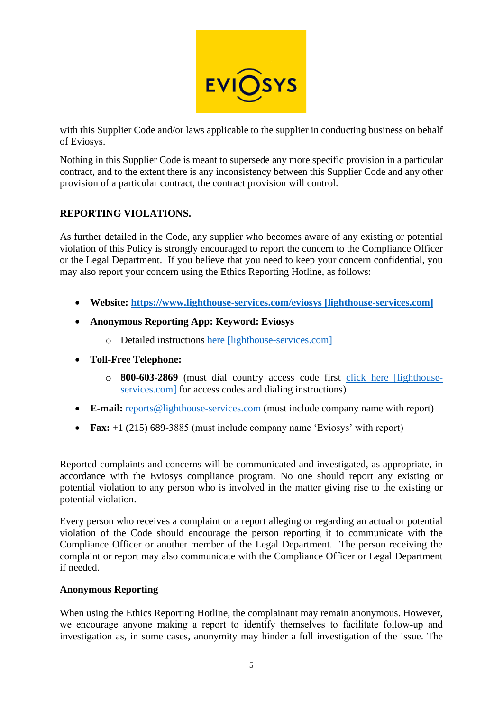

with this Supplier Code and/or laws applicable to the supplier in conducting business on behalf of Eviosys.

Nothing in this Supplier Code is meant to supersede any more specific provision in a particular contract, and to the extent there is any inconsistency between this Supplier Code and any other provision of a particular contract, the contract provision will control.

# **REPORTING VIOLATIONS.**

As further detailed in the Code, any supplier who becomes aware of any existing or potential violation of this Policy is strongly encouraged to report the concern to the Compliance Officer or the Legal Department. If you believe that you need to keep your concern confidential, you may also report your concern using the Ethics Reporting Hotline, as follows:

- **Website: [https://www.lighthouse-services.com/eviosys \[lighthouse-services.com\]](https://urldefense.com/v3/__https:/www.lighthouse-services.com/eviosys__;!!PTGQQmqz!4I3voUKHfRiODzzbXYmAi_9HCRq0j-wPDPu1yn2x-BWK3HgpV2OaGwBghcWfq74KwWWGlg$)**
- **Anonymous Reporting App: Keyword: Eviosys**
	- o Detailed instructions [here \[lighthouse-services.com\]](https://urldefense.com/v3/__https:/www.lighthouse-services.com/documents/Using*20the*20Lighthouse*20Anonymous*20Reporting*20App.docx__;JSUlJSU!!PTGQQmqz!8biyak0SWmG_WVEqdj41InhhOmiw_4eUyG9v3oKxioTKBr9o0BJ-zuOq19tr3Rb5zQPwzA$)
- **Toll-Free Telephone:**
	- o **800-603-2869** (must dial country access code first [click here \[lighthouse](https://urldefense.com/v3/__http:/www.lighthouse-services.com/documentlink/International*20Toll-free*20Hotline*20Access*20Instructions.pdf__;JSUlJQ!!PTGQQmqz!8biyak0SWmG_WVEqdj41InhhOmiw_4eUyG9v3oKxioTKBr9o0BJ-zuOq19tr3RaNeMOcQg$)[services.com\]](https://urldefense.com/v3/__http:/www.lighthouse-services.com/documentlink/International*20Toll-free*20Hotline*20Access*20Instructions.pdf__;JSUlJQ!!PTGQQmqz!8biyak0SWmG_WVEqdj41InhhOmiw_4eUyG9v3oKxioTKBr9o0BJ-zuOq19tr3RaNeMOcQg$) for access codes and dialing instructions)
- **E-mail:** [reports@lighthouse-services.com](mailto:reports@lighthouse-services.com) (must include company name with report)
- **Fax:** +1 (215) 689-3885 (must include company name 'Eviosys' with report)

Reported complaints and concerns will be communicated and investigated, as appropriate, in accordance with the Eviosys compliance program. No one should report any existing or potential violation to any person who is involved in the matter giving rise to the existing or potential violation.

Every person who receives a complaint or a report alleging or regarding an actual or potential violation of the Code should encourage the person reporting it to communicate with the Compliance Officer or another member of the Legal Department. The person receiving the complaint or report may also communicate with the Compliance Officer or Legal Department if needed.

#### **Anonymous Reporting**

When using the Ethics Reporting Hotline, the complainant may remain anonymous. However, we encourage anyone making a report to identify themselves to facilitate follow‐up and investigation as, in some cases, anonymity may hinder a full investigation of the issue. The